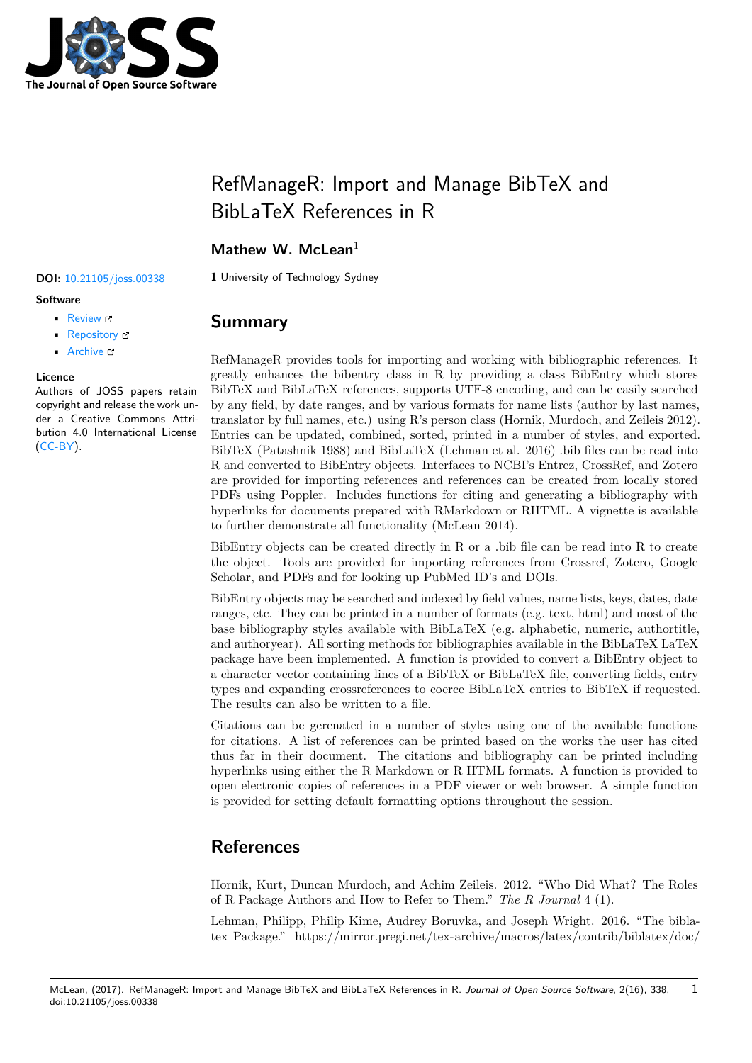

# RefManageR: Import and Manage BibTeX and BibLaTeX References in R

### **Mathew W. McLean**<sup>1</sup>

**Software**

- Review &
- [Repository](https://doi.org/10.21105/joss.00338) &
- Archive L'

#### **Licence**

Autho[rs of JOSS](https://github.com/mwmclean/RefManageR) papers retain copyright and release the work under a [Creativ](http://dx.doi.org/10.5281/zenodo.835547)e Commons Attribution 4.0 International License (CC-BY).

**DOI:** 10.21105/joss.00338 **1** University of Technology Sydney

## **Summary**

RefManageR provides tools for importing and working with bibliographic references. It greatly enhances the bibentry class in R by providing a class BibEntry which stores BibTeX and BibLaTeX references, supports UTF-8 encoding, and can be easily searched by any field, by date ranges, and by various formats for name lists (author by last names, translator by full names, etc.) using R's person class (Hornik, Murdoch, and Zeileis 2012). Entries can be updated, combined, sorted, printed in a number of styles, and exported. BibTeX (Patashnik 1988) and BibLaTeX (Lehman et al. 2016) .bib files can be read into R and converted to BibEntry objects. Interfaces to NCBI's Entrez, CrossRef, and Zotero are provided for importing references and references can be created from locally stored PDFs using Poppler. Includes functions for citing and generating a bibliography with hyperlinks for documents prepared with RMarkdown or RHTML. A vignette is available to further demonstrate all functionality (McLean 2014).

BibEntry objects can be created directly in R or a .bib file can be read into R to create the object. Tools are provided for importing references from Crossref, Zotero, Google Scholar, and PDFs and for looking up PubMed ID's and DOIs.

BibEntry objects may be searched and indexed by field values, name lists, keys, dates, date ranges, etc. They can be printed in a number of formats (e.g. text, html) and most of the base bibliography styles available with BibLaTeX (e.g. alphabetic, numeric, authortitle, and authoryear). All sorting methods for bibliographies available in the BibLaTeX LaTeX package have been implemented. A function is provided to convert a BibEntry object to a character vector containing lines of a BibTeX or BibLaTeX file, converting fields, entry types and expanding crossreferences to coerce BibLaTeX entries to BibTeX if requested. The results can also be written to a file.

Citations can be gerenated in a number of styles using one of the available functions for citations. A list of references can be printed based on the works the user has cited thus far in their document. The citations and bibliography can be printed including hyperlinks using either the R Markdown or R HTML formats. A function is provided to open electronic copies of references in a PDF viewer or web browser. A simple function is provided for setting default formatting options throughout the session.

## **References**

Hornik, Kurt, Duncan Murdoch, and Achim Zeileis. 2012. "Who Did What? The Roles of R Package Authors and How to Refer to Them." *The R Journal* 4 (1).

Lehman, Philipp, Philip Kime, Audrey Boruvka, and Joseph Wright. 2016. "The biblatex Package." https://mirror.pregi.net/tex-archive/macros/latex/contrib/biblatex/doc/